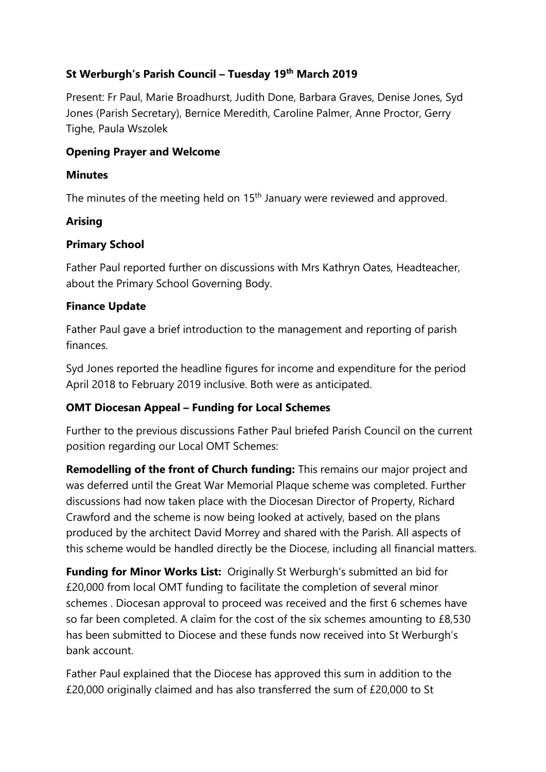## **St Werburgh's Parish Council – Tuesday 19th March 2019**

Present: Fr Paul, Marie Broadhurst, Judith Done, Barbara Graves, Denise Jones, Syd Jones (Parish Secretary), Bernice Meredith, Caroline Palmer, Anne Proctor, Gerry Tighe, Paula Wszolek

### **Opening Prayer and Welcome**

### **Minutes**

The minutes of the meeting held on 15<sup>th</sup> January were reviewed and approved.

### **Arising**

## **Primary School**

Father Paul reported further on discussions with Mrs Kathryn Oates, Headteacher, about the Primary School Governing Body.

### **Finance Update**

Father Paul gave a brief introduction to the management and reporting of parish finances.

Syd Jones reported the headline figures for income and expenditure for the period April 2018 to February 2019 inclusive. Both were as anticipated.

## **OMT Diocesan Appeal – Funding for Local Schemes**

Further to the previous discussions Father Paul briefed Parish Council on the current position regarding our Local OMT Schemes:

**Remodelling of the front of Church funding:** This remains our major project and was deferred until the Great War Memorial Plaque scheme was completed. Further discussions had now taken place with the Diocesan Director of Property, Richard Crawford and the scheme is now being looked at actively, based on the plans produced by the architect David Morrey and shared with the Parish. All aspects of this scheme would be handled directly be the Diocese, including all financial matters.

**Funding for Minor Works List:** Originally St Werburgh's submitted an bid for £20,000 from local OMT funding to facilitate the completion of several minor schemes . Diocesan approval to proceed was received and the first 6 schemes have so far been completed. A claim for the cost of the six schemes amounting to £8,530 has been submitted to Diocese and these funds now received into St Werburgh's bank account.

Father Paul explained that the Diocese has approved this sum in addition to the £20,000 originally claimed and has also transferred the sum of £20,000 to St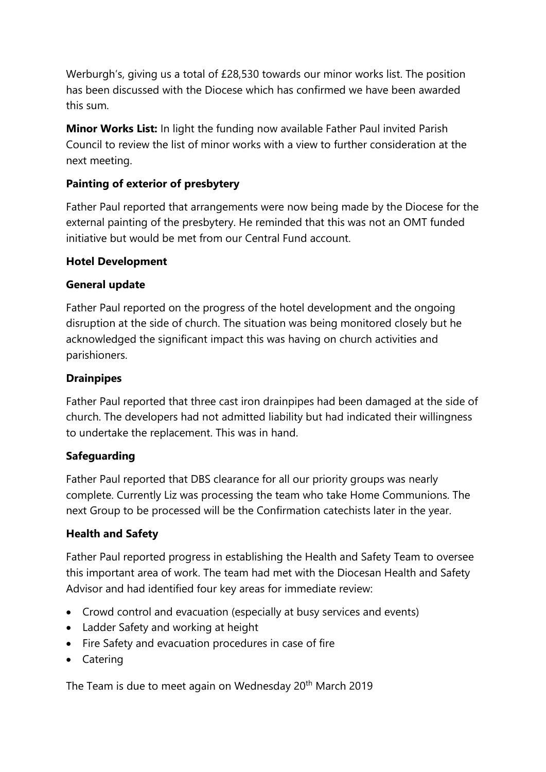Werburgh's, giving us a total of £28,530 towards our minor works list. The position has been discussed with the Diocese which has confirmed we have been awarded this sum.

**Minor Works List:** In light the funding now available Father Paul invited Parish Council to review the list of minor works with a view to further consideration at the next meeting.

# **Painting of exterior of presbytery**

Father Paul reported that arrangements were now being made by the Diocese for the external painting of the presbytery. He reminded that this was not an OMT funded initiative but would be met from our Central Fund account.

#### **Hotel Development**

### **General update**

Father Paul reported on the progress of the hotel development and the ongoing disruption at the side of church. The situation was being monitored closely but he acknowledged the significant impact this was having on church activities and parishioners.

### **Drainpipes**

Father Paul reported that three cast iron drainpipes had been damaged at the side of church. The developers had not admitted liability but had indicated their willingness to undertake the replacement. This was in hand.

#### **Safeguarding**

Father Paul reported that DBS clearance for all our priority groups was nearly complete. Currently Liz was processing the team who take Home Communions. The next Group to be processed will be the Confirmation catechists later in the year.

## **Health and Safety**

Father Paul reported progress in establishing the Health and Safety Team to oversee this important area of work. The team had met with the Diocesan Health and Safety Advisor and had identified four key areas for immediate review:

- Crowd control and evacuation (especially at busy services and events)
- Ladder Safety and working at height
- Fire Safety and evacuation procedures in case of fire
- Catering

The Team is due to meet again on Wednesday 20<sup>th</sup> March 2019